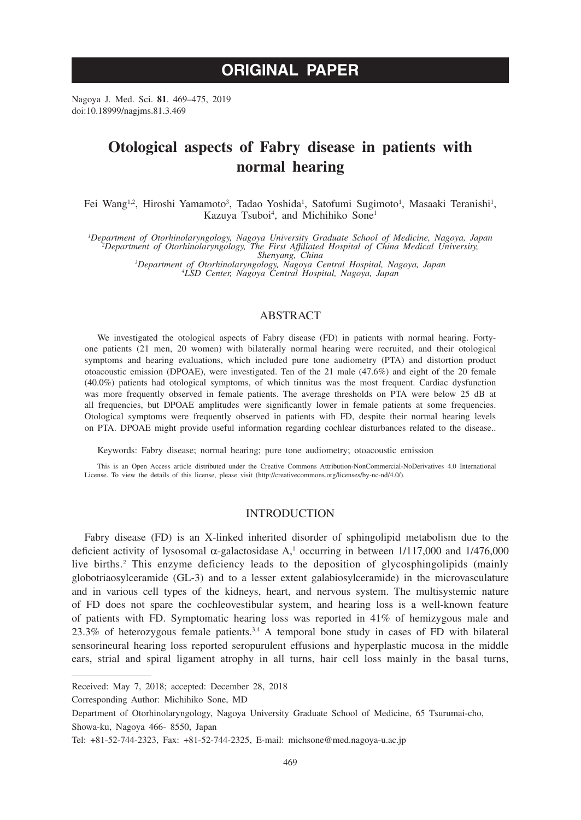# **ORIGINAL PAPER**

Nagoya J. Med. Sci. **81**. 469–475, 2019 doi:10.18999/nagjms.81.3.469

# **Otological aspects of Fabry disease in patients with normal hearing**

Fei Wang<sup>1,2</sup>, Hiroshi Yamamoto<sup>3</sup>, Tadao Yoshida<sup>1</sup>, Satofumi Sugimoto<sup>1</sup>, Masaaki Teranishi<sup>1</sup>, Kazuya Tsuboi<sup>4</sup>, and Michihiko Sone<sup>1</sup>

Department of Otorhinolaryngology, Nagoya University Graduate School of Medicine, Nagoya, Japan<sup>2</sup><br>Pepartment of Otorhinolaryngology, The First Affiliated Hospital of China Medical University,<br><sup>3</sup>Department of Otorhinolary

*Department of Otorhinolaryngology, Nagoya Central Hospital, Nagoya, Japan <sup>4</sup> LSD Center, Nagoya Central Hospital, Nagoya, Japan*

# ABSTRACT

We investigated the otological aspects of Fabry disease (FD) in patients with normal hearing. Fortyone patients (21 men, 20 women) with bilaterally normal hearing were recruited, and their otological symptoms and hearing evaluations, which included pure tone audiometry (PTA) and distortion product otoacoustic emission (DPOAE), were investigated. Ten of the 21 male (47.6%) and eight of the 20 female (40.0%) patients had otological symptoms, of which tinnitus was the most frequent. Cardiac dysfunction was more frequently observed in female patients. The average thresholds on PTA were below 25 dB at all frequencies, but DPOAE amplitudes were significantly lower in female patients at some frequencies. Otological symptoms were frequently observed in patients with FD, despite their normal hearing levels on PTA. DPOAE might provide useful information regarding cochlear disturbances related to the disease..

Keywords: Fabry disease; normal hearing; pure tone audiometry; otoacoustic emission

This is an Open Access article distributed under the Creative Commons Attribution-NonCommercial-NoDerivatives 4.0 International License. To view the details of this license, please visit (http://creativecommons.org/licenses/by-nc-nd/4.0/).

#### INTRODUCTION

Fabry disease (FD) is an X-linked inherited disorder of sphingolipid metabolism due to the deficient activity of lysosomal  $\alpha$ -galactosidase A,<sup>1</sup> occurring in between 1/117,000 and 1/476,000 live births.<sup>2</sup> This enzyme deficiency leads to the deposition of glycosphingolipids (mainly globotriaosylceramide (GL-3) and to a lesser extent galabiosylceramide) in the microvasculature and in various cell types of the kidneys, heart, and nervous system. The multisystemic nature of FD does not spare the cochleovestibular system, and hearing loss is a well-known feature of patients with FD. Symptomatic hearing loss was reported in 41% of hemizygous male and 23.3% of heterozygous female patients.3,4 A temporal bone study in cases of FD with bilateral sensorineural hearing loss reported seropurulent effusions and hyperplastic mucosa in the middle ears, strial and spiral ligament atrophy in all turns, hair cell loss mainly in the basal turns,

Corresponding Author: Michihiko Sone, MD

Received: May 7, 2018; accepted: December 28, 2018

Department of Otorhinolaryngology, Nagoya University Graduate School of Medicine, 65 Tsurumai-cho, Showa-ku, Nagoya 466- 8550, Japan

Tel: +81-52-744-2323, Fax: +81-52-744-2325, E-mail: michsone@med.nagoya-u.ac.jp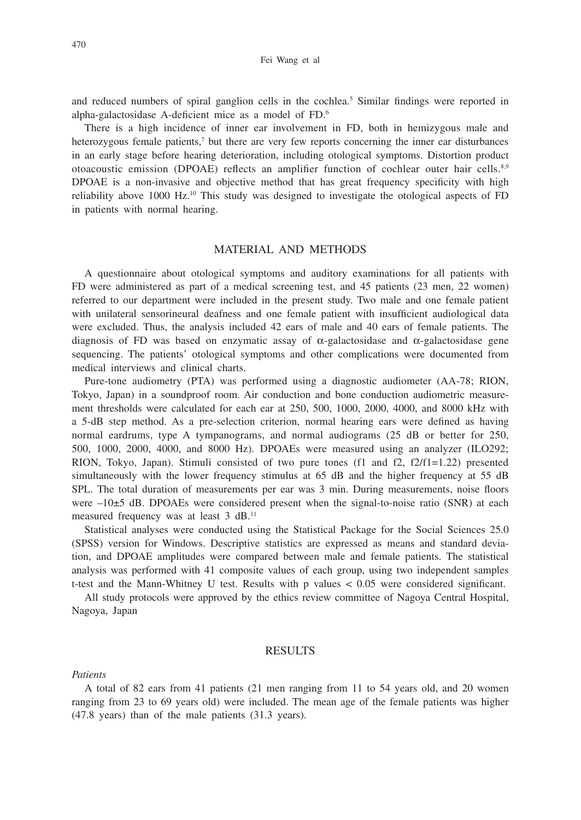and reduced numbers of spiral ganglion cells in the cochlea.<sup>5</sup> Similar findings were reported in alpha-galactosidase A-deficient mice as a model of FD.6

There is a high incidence of inner ear involvement in FD, both in hemizygous male and heterozygous female patients,<sup>7</sup> but there are very few reports concerning the inner ear disturbances in an early stage before hearing deterioration, including otological symptoms. Distortion product otoacoustic emission (DPOAE) reflects an amplifier function of cochlear outer hair cells.8,9 DPOAE is a non-invasive and objective method that has great frequency specificity with high reliability above 1000 Hz.<sup>10</sup> This study was designed to investigate the otological aspects of FD in patients with normal hearing.

## MATERIAL AND METHODS

A questionnaire about otological symptoms and auditory examinations for all patients with FD were administered as part of a medical screening test, and 45 patients (23 men, 22 women) referred to our department were included in the present study. Two male and one female patient with unilateral sensorineural deafness and one female patient with insufficient audiological data were excluded. Thus, the analysis included 42 ears of male and 40 ears of female patients. The diagnosis of FD was based on enzymatic assay of  $\alpha$ -galactosidase and  $\alpha$ -galactosidase gene sequencing. The patients' otological symptoms and other complications were documented from medical interviews and clinical charts.

Pure-tone audiometry (PTA) was performed using a diagnostic audiometer (AA-78; RION, Tokyo, Japan) in a soundproof room. Air conduction and bone conduction audiometric measurement thresholds were calculated for each ear at 250, 500, 1000, 2000, 4000, and 8000 kHz with a 5-dB step method. As a pre-selection criterion, normal hearing ears were defined as having normal eardrums, type A tympanograms, and normal audiograms (25 dB or better for 250, 500, 1000, 2000, 4000, and 8000 Hz). DPOAEs were measured using an analyzer (ILO292; RION, Tokyo, Japan). Stimuli consisted of two pure tones (f1 and f2, f2/f1=1.22) presented simultaneously with the lower frequency stimulus at 65 dB and the higher frequency at 55 dB SPL. The total duration of measurements per ear was 3 min. During measurements, noise floors were  $-10\pm5$  dB. DPOAEs were considered present when the signal-to-noise ratio (SNR) at each measured frequency was at least 3 dB.11

Statistical analyses were conducted using the Statistical Package for the Social Sciences 25.0 (SPSS) version for Windows. Descriptive statistics are expressed as means and standard deviation, and DPOAE amplitudes were compared between male and female patients. The statistical analysis was performed with 41 composite values of each group, using two independent samples t-test and the Mann-Whitney U test. Results with p values < 0.05 were considered significant.

All study protocols were approved by the ethics review committee of Nagoya Central Hospital, Nagoya, Japan

#### **RESULTS**

#### *Patients*

A total of 82 ears from 41 patients (21 men ranging from 11 to 54 years old, and 20 women ranging from 23 to 69 years old) were included. The mean age of the female patients was higher (47.8 years) than of the male patients (31.3 years).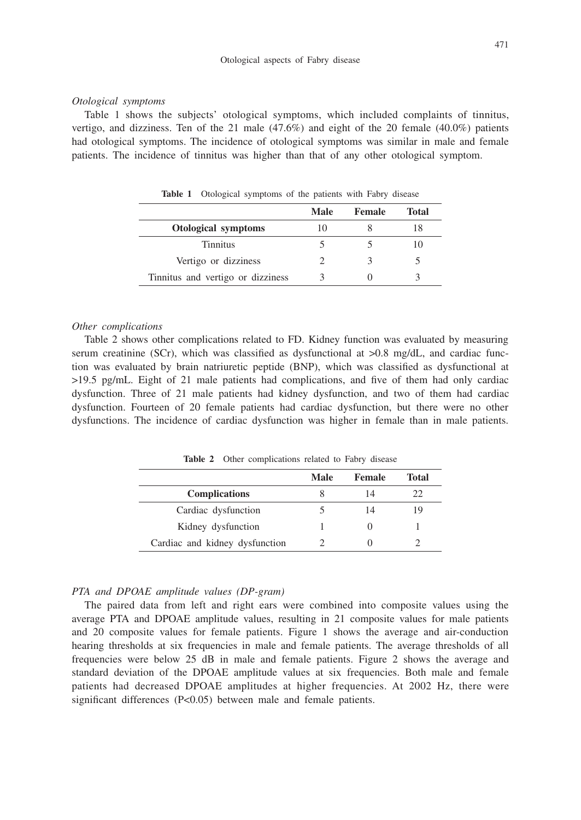#### *Otological symptoms*

Table 1 shows the subjects' otological symptoms, which included complaints of tinnitus, vertigo, and dizziness. Ten of the 21 male  $(47.6\%)$  and eight of the 20 female  $(40.0\%)$  patients had otological symptoms. The incidence of otological symptoms was similar in male and female patients. The incidence of tinnitus was higher than that of any other otological symptom.

|                                   | <b>Male</b> | Female | Total |  |
|-----------------------------------|-------------|--------|-------|--|
| Otological symptoms               |             |        |       |  |
| <b>Tinnitus</b>                   |             |        | IO.   |  |
| Vertigo or dizziness              |             |        |       |  |
| Tinnitus and vertigo or dizziness |             |        |       |  |

**Table 1** Otological symptoms of the patients with Fabry disease

#### *Other complications*

Table 2 shows other complications related to FD. Kidney function was evaluated by measuring serum creatinine (SCr), which was classified as dysfunctional at  $>0.8$  mg/dL, and cardiac function was evaluated by brain natriuretic peptide (BNP), which was classified as dysfunctional at >19.5 pg/mL. Eight of 21 male patients had complications, and five of them had only cardiac dysfunction. Three of 21 male patients had kidney dysfunction, and two of them had cardiac dysfunction. Fourteen of 20 female patients had cardiac dysfunction, but there were no other dysfunctions. The incidence of cardiac dysfunction was higher in female than in male patients.

Table 2 Other complications related to Fabry disease

|                                | Male | <b>Female</b> | Total |
|--------------------------------|------|---------------|-------|
| <b>Complications</b>           |      |               |       |
| Cardiac dysfunction            |      |               |       |
| Kidney dysfunction             |      |               |       |
| Cardiac and kidney dysfunction |      |               |       |

### *PTA and DPOAE amplitude values (DP-gram)*

The paired data from left and right ears were combined into composite values using the average PTA and DPOAE amplitude values, resulting in 21 composite values for male patients and 20 composite values for female patients. Figure 1 shows the average and air-conduction hearing thresholds at six frequencies in male and female patients. The average thresholds of all frequencies were below 25 dB in male and female patients. Figure 2 shows the average and standard deviation of the DPOAE amplitude values at six frequencies. Both male and female patients had decreased DPOAE amplitudes at higher frequencies. At 2002 Hz, there were significant differences (P<0.05) between male and female patients.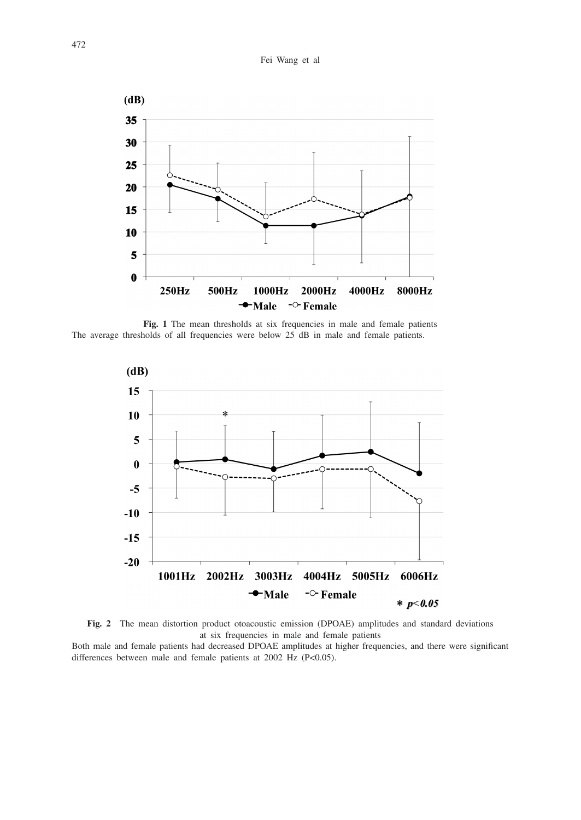

Fig. 1 The mean thresholds at six frequencies in male and female patients The average thresholds of all frequencies were below 25 dB in male and female patients.





Both male and female patients had decreased DPOAE amplitudes at higher frequencies, and there were significant differences between male and female patients at 2002 Hz (P<0.05).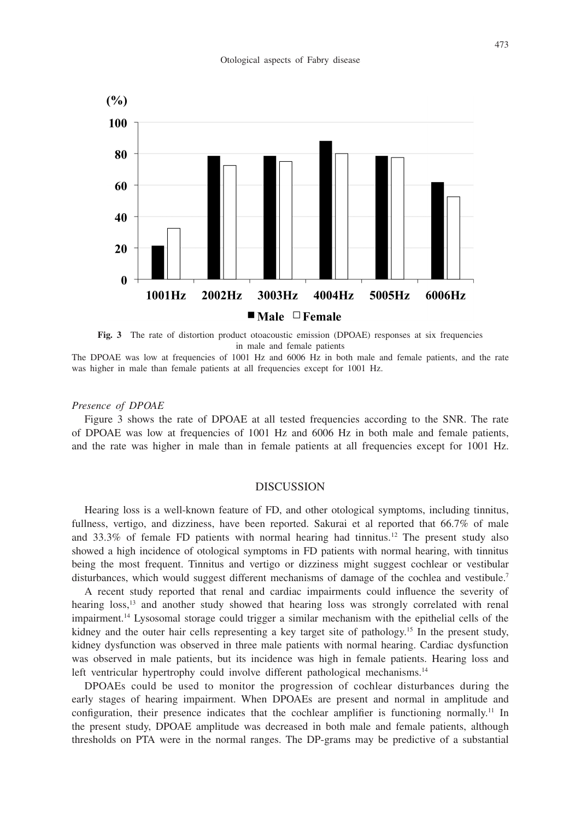

**Fig. 3** The rate of distortion product otoacoustic emission (DPOAE) responses at six frequencies in male and female patients

The DPOAE was low at frequencies of 1001 Hz and 6006 Hz in both male and female patients, and the rate was higher in male than female patients at all frequencies except for 1001 Hz.

#### *Presence of DPOAE*

Figure 3 shows the rate of DPOAE at all tested frequencies according to the SNR. The rate of DPOAE was low at frequencies of 1001 Hz and 6006 Hz in both male and female patients, and the rate was higher in male than in female patients at all frequencies except for 1001 Hz.

#### DISCUSSION

Hearing loss is a well-known feature of FD, and other otological symptoms, including tinnitus, fullness, vertigo, and dizziness, have been reported. Sakurai et al reported that 66.7% of male and  $33.3\%$  of female FD patients with normal hearing had tinnitus.<sup>12</sup> The present study also showed a high incidence of otological symptoms in FD patients with normal hearing, with tinnitus being the most frequent. Tinnitus and vertigo or dizziness might suggest cochlear or vestibular disturbances, which would suggest different mechanisms of damage of the cochlea and vestibule.<sup>7</sup>

A recent study reported that renal and cardiac impairments could influence the severity of hearing loss,<sup>13</sup> and another study showed that hearing loss was strongly correlated with renal impairment.14 Lysosomal storage could trigger a similar mechanism with the epithelial cells of the kidney and the outer hair cells representing a key target site of pathology.<sup>15</sup> In the present study, kidney dysfunction was observed in three male patients with normal hearing. Cardiac dysfunction was observed in male patients, but its incidence was high in female patients. Hearing loss and left ventricular hypertrophy could involve different pathological mechanisms.<sup>14</sup>

DPOAEs could be used to monitor the progression of cochlear disturbances during the early stages of hearing impairment. When DPOAEs are present and normal in amplitude and configuration, their presence indicates that the cochlear amplifier is functioning normally.<sup>11</sup> In the present study, DPOAE amplitude was decreased in both male and female patients, although thresholds on PTA were in the normal ranges. The DP-grams may be predictive of a substantial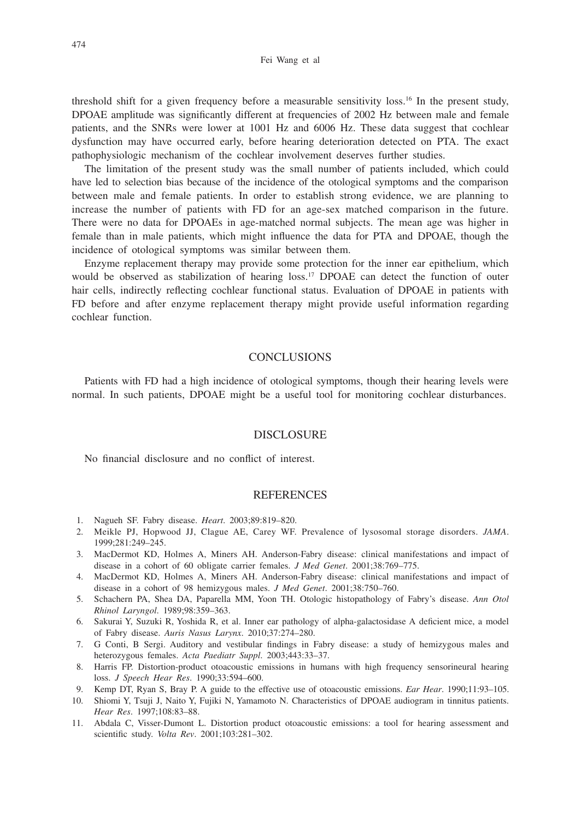threshold shift for a given frequency before a measurable sensitivity loss.<sup>16</sup> In the present study, DPOAE amplitude was significantly different at frequencies of 2002 Hz between male and female patients, and the SNRs were lower at 1001 Hz and 6006 Hz. These data suggest that cochlear dysfunction may have occurred early, before hearing deterioration detected on PTA. The exact pathophysiologic mechanism of the cochlear involvement deserves further studies.

The limitation of the present study was the small number of patients included, which could have led to selection bias because of the incidence of the otological symptoms and the comparison between male and female patients. In order to establish strong evidence, we are planning to increase the number of patients with FD for an age-sex matched comparison in the future. There were no data for DPOAEs in age-matched normal subjects. The mean age was higher in female than in male patients, which might influence the data for PTA and DPOAE, though the incidence of otological symptoms was similar between them.

Enzyme replacement therapy may provide some protection for the inner ear epithelium, which would be observed as stabilization of hearing loss.<sup>17</sup> DPOAE can detect the function of outer hair cells, indirectly reflecting cochlear functional status. Evaluation of DPOAE in patients with FD before and after enzyme replacement therapy might provide useful information regarding cochlear function.

## **CONCLUSIONS**

Patients with FD had a high incidence of otological symptoms, though their hearing levels were normal. In such patients, DPOAE might be a useful tool for monitoring cochlear disturbances.

#### DISCLOSURE

No financial disclosure and no conflict of interest.

#### **REFERENCES**

- 1. Nagueh SF. Fabry disease. *Heart*. 2003;89:819–820.
- 2. Meikle PJ, Hopwood JJ, Clague AE, Carey WF. Prevalence of lysosomal storage disorders. *JAMA*. 1999;281:249–245.
- 3. MacDermot KD, Holmes A, Miners AH. Anderson-Fabry disease: clinical manifestations and impact of disease in a cohort of 60 obligate carrier females. *J Med Genet*. 2001;38:769–775.
- 4. MacDermot KD, Holmes A, Miners AH. Anderson-Fabry disease: clinical manifestations and impact of disease in a cohort of 98 hemizygous males. *J Med Genet*. 2001;38:750–760.
- 5. Schachern PA, Shea DA, Paparella MM, Yoon TH. Otologic histopathology of Fabry's disease. *Ann Otol Rhinol Laryngol*. 1989;98:359–363.
- 6. Sakurai Y, Suzuki R, Yoshida R, et al. Inner ear pathology of alpha-galactosidase A deficient mice, a model of Fabry disease. *Auris Nasus Larynx*. 2010;37:274–280.
- 7. G Conti, B Sergi. Auditory and vestibular findings in Fabry disease: a study of hemizygous males and heterozygous females. *Acta Paediatr Suppl*. 2003;443:33–37.
- 8. Harris FP. Distortion-product otoacoustic emissions in humans with high frequency sensorineural hearing loss. *J Speech Hear Res*. 1990;33:594–600.
- 9. Kemp DT, Ryan S, Bray P. A guide to the effective use of otoacoustic emissions. *Ear Hear*. 1990;11:93–105.
- 10. Shiomi Y, Tsuji J, Naito Y, Fujiki N, Yamamoto N. Characteristics of DPOAE audiogram in tinnitus patients. *Hear Res*. 1997;108:83–88.
- 11. Abdala C, Visser-Dumont L. Distortion product otoacoustic emissions: a tool for hearing assessment and scientific study. *Volta Rev*. 2001;103:281–302.